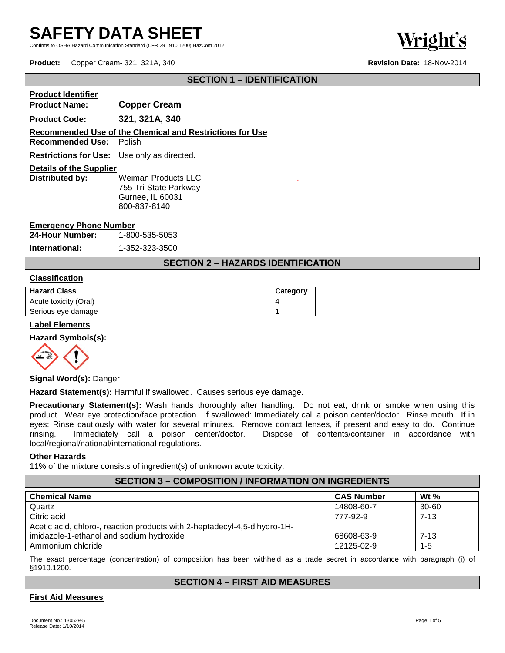Confirms to OSHA Hazard Communication Standard (CFR 29 1910.1200) HazCom 2012



**Product:** Copper Cream- 321, 321A, 340 **Revision Date:** 18-Nov-2014

# **SECTION 1 – IDENTIFICATION**

| <b>Product Identifier</b>                          |                                                                                  |
|----------------------------------------------------|----------------------------------------------------------------------------------|
| <b>Product Name:</b>                               | <b>Copper Cream</b>                                                              |
| <b>Product Code:</b>                               | 321, 321A, 340                                                                   |
| <b>Recommended Use: Polish</b>                     | Recommended Use of the Chemical and Restrictions for Use                         |
| <b>Restrictions for Use:</b> Use only as directed. |                                                                                  |
| <b>Details of the Supplier</b>                     |                                                                                  |
| Distributed by:                                    | Weiman Products LLC<br>755 Tri-State Parkway<br>Gurnee, IL 60031<br>800-837-8140 |

## **Emergency Phone Number**

**24-Hour Number:** 1-800-535-5053

**International:** 1-352-323-3500

# **SECTION 2 – HAZARDS IDENTIFICATION**

.

#### **Classification**

| <b>Hazard Class</b>   | Category |
|-----------------------|----------|
| Acute toxicity (Oral) |          |
| Serious eye damage    |          |

#### **Label Elements**

#### **Hazard Symbols(s):**



#### **Signal Word(s):** Danger

**Hazard Statement(s):** Harmful if swallowed. Causes serious eye damage.

**Precautionary Statement(s):** Wash hands thoroughly after handling. Do not eat, drink or smoke when using this product. Wear eye protection/face protection. If swallowed: Immediately call a poison center/doctor. Rinse mouth. If in eyes: Rinse cautiously with water for several minutes. Remove contact lenses, if present and easy to do. Continue rinsing. Immediately call a poison center/doctor. Dispose of contents/container in accordance with rinsing. Immediately call a poison center/doctor. Dispose of contents/container in accordance with local/regional/national/international regulations.

#### **Other Hazards**

11% of the mixture consists of ingredient(s) of unknown acute toxicity.

# **SECTION 3 – COMPOSITION / INFORMATION ON INGREDIENTS**

| <b>Chemical Name</b>                                                      | <b>CAS Number</b> | Wt $%$    |
|---------------------------------------------------------------------------|-------------------|-----------|
| Quartz                                                                    | 14808-60-7        | $30 - 60$ |
| Citric acid                                                               | 777-92-9          | $7 - 13$  |
| Acetic acid, chloro-, reaction products with 2-heptadecyl-4,5-dihydro-1H- |                   |           |
| imidazole-1-ethanol and sodium hydroxide                                  | 68608-63-9        | $7 - 13$  |
| Ammonium chloride                                                         | 12125-02-9        | $1 - 5$   |

The exact percentage (concentration) of composition has been withheld as a trade secret in accordance with paragraph (i) of §1910.1200.

### **SECTION 4 – FIRST AID MEASURES**

#### **First Aid Measures**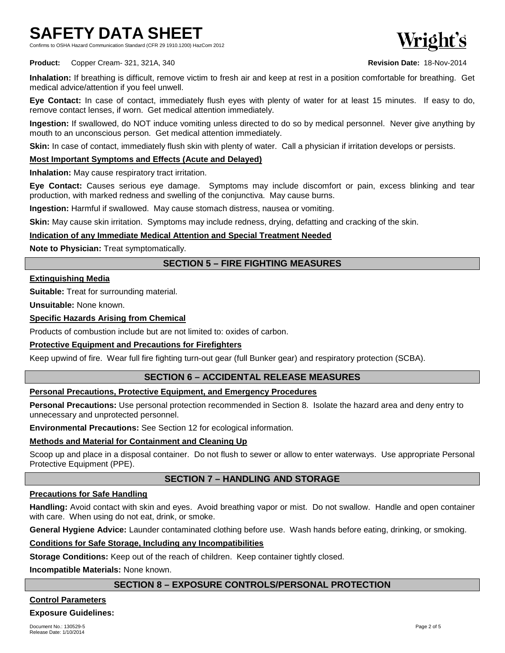Confirms to OSHA Hazard Communication Standard (CFR 29 1910.1200) HazCom 2012



**Product:** Copper Cream- 321, 321A, 340 **Revision Date:** 18-Nov-2014

**Inhalation:** If breathing is difficult, remove victim to fresh air and keep at rest in a position comfortable for breathing. Get medical advice/attention if you feel unwell.

**Eye Contact:** In case of contact, immediately flush eyes with plenty of water for at least 15 minutes. If easy to do, remove contact lenses, if worn. Get medical attention immediately.

**Ingestion:** If swallowed, do NOT induce vomiting unless directed to do so by medical personnel. Never give anything by mouth to an unconscious person. Get medical attention immediately.

**Skin:** In case of contact, immediately flush skin with plenty of water. Call a physician if irritation develops or persists.

# **Most Important Symptoms and Effects (Acute and Delayed)**

**Inhalation:** May cause respiratory tract irritation.

**Eye Contact:** Causes serious eye damage. Symptoms may include discomfort or pain, excess blinking and tear production, with marked redness and swelling of the conjunctiva. May cause burns.

**Ingestion:** Harmful if swallowed. May cause stomach distress, nausea or vomiting.

**Skin:** May cause skin irritation. Symptoms may include redness, drying, defatting and cracking of the skin.

## **Indication of any Immediate Medical Attention and Special Treatment Needed**

**Note to Physician:** Treat symptomatically.

# **SECTION 5 – FIRE FIGHTING MEASURES**

### **Extinguishing Media**

**Suitable:** Treat for surrounding material.

**Unsuitable:** None known.

## **Specific Hazards Arising from Chemical**

Products of combustion include but are not limited to: oxides of carbon.

# **Protective Equipment and Precautions for Firefighters**

Keep upwind of fire. Wear full fire fighting turn-out gear (full Bunker gear) and respiratory protection (SCBA).

# **SECTION 6 – ACCIDENTAL RELEASE MEASURES**

# **Personal Precautions, Protective Equipment, and Emergency Procedures**

**Personal Precautions:** Use personal protection recommended in Section 8. Isolate the hazard area and deny entry to unnecessary and unprotected personnel.

**Environmental Precautions:** See Section 12 for ecological information.

### **Methods and Material for Containment and Cleaning Up**

Scoop up and place in a disposal container. Do not flush to sewer or allow to enter waterways. Use appropriate Personal Protective Equipment (PPE).

# **SECTION 7 – HANDLING AND STORAGE**

### **Precautions for Safe Handling**

**Handling:** Avoid contact with skin and eyes. Avoid breathing vapor or mist. Do not swallow. Handle and open container with care. When using do not eat, drink, or smoke.

**General Hygiene Advice:** Launder contaminated clothing before use. Wash hands before eating, drinking, or smoking.

## **Conditions for Safe Storage, Including any Incompatibilities**

**Storage Conditions:** Keep out of the reach of children. Keep container tightly closed.

**Incompatible Materials:** None known.

# **SECTION 8 – EXPOSURE CONTROLS/PERSONAL PROTECTION**

### **Control Parameters**

### **Exposure Guidelines:**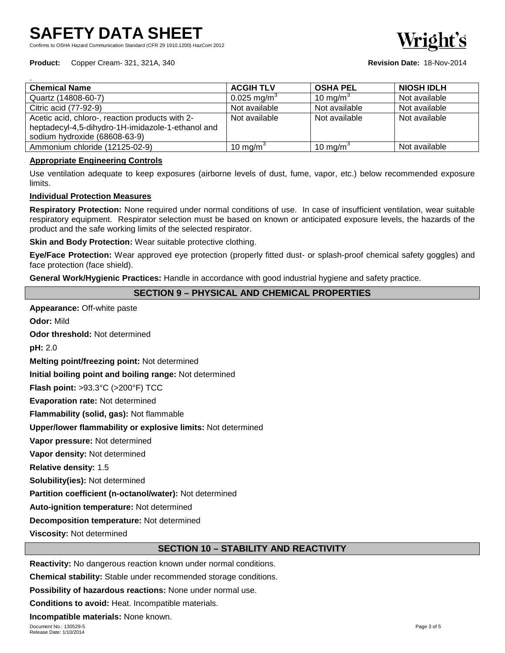Confirms to OSHA Hazard Communication Standard (CFR 29 1910.1200) HazCom 2012

**Product:** Copper Cream- 321, 321A, 340 **Revision Date:** 18-Nov-2014

| <b>Chemical Name</b>                              | <b>ACGIH TLV</b>        | <b>OSHA PEL</b>      | <b>NIOSH IDLH</b> |
|---------------------------------------------------|-------------------------|----------------------|-------------------|
| Quartz (14808-60-7)                               | 0.025 mg/m <sup>3</sup> | 10 mg/m <sup>3</sup> | Not available     |
| Citric acid (77-92-9)                             | Not available           | Not available        | Not available     |
| Acetic acid, chloro-, reaction products with 2-   | Not available           | Not available        | Not available     |
| heptadecyl-4,5-dihydro-1H-imidazole-1-ethanol and |                         |                      |                   |
| sodium hydroxide (68608-63-9)                     |                         |                      |                   |
| Ammonium chloride (12125-02-9)                    | 10 mg/m <sup>3</sup>    | 10 mg/m <sup>3</sup> | Not available     |

#### **Appropriate Engineering Controls**

Use ventilation adequate to keep exposures (airborne levels of dust, fume, vapor, etc.) below recommended exposure limits.

#### **Individual Protection Measures**

**Respiratory Protection:** None required under normal conditions of use. In case of insufficient ventilation, wear suitable respiratory equipment. Respirator selection must be based on known or anticipated exposure levels, the hazards of the product and the safe working limits of the selected respirator.

**Skin and Body Protection:** Wear suitable protective clothing.

**Eye/Face Protection:** Wear approved eye protection (properly fitted dust- or splash-proof chemical safety goggles) and face protection (face shield).

**General Work/Hygienic Practices:** Handle in accordance with good industrial hygiene and safety practice.

# **SECTION 9 – PHYSICAL AND CHEMICAL PROPERTIES**

**Appearance:** Off-white paste **Odor:** Mild **Odor threshold:** Not determined **pH:** 2.0 **Melting point/freezing point:** Not determined **Initial boiling point and boiling range:** Not determined **Flash point:** >93.3°C (>200°F) TCC **Evaporation rate:** Not determined **Flammability (solid, gas):** Not flammable **Upper/lower flammability or explosive limits:** Not determined **Vapor pressure:** Not determined **Vapor density:** Not determined **Relative density:** 1.5 **Solubility(ies):** Not determined **Partition coefficient (n-octanol/water):** Not determined **Auto-ignition temperature:** Not determined **Decomposition temperature:** Not determined **Viscosity:** Not determined

# **SECTION 10 – STABILITY AND REACTIVITY**

**Reactivity:** No dangerous reaction known under normal conditions.

**Chemical stability:** Stable under recommended storage conditions.

**Possibility of hazardous reactions:** None under normal use.

**Conditions to avoid:** Heat. Incompatible materials.

**Incompatible materials:** None known.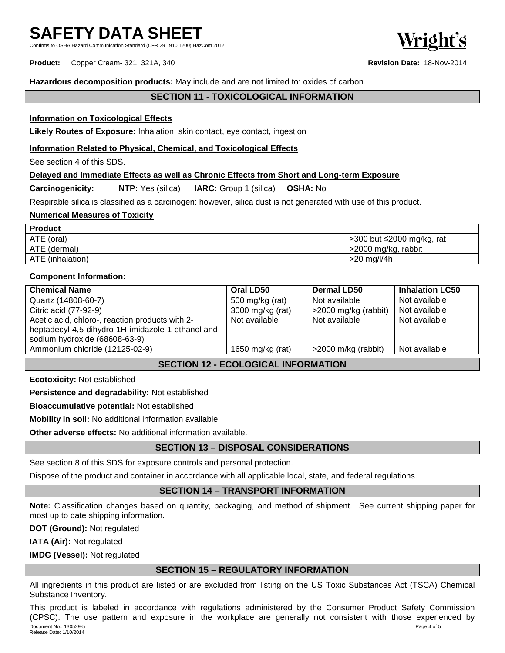Confirms to OSHA Hazard Communication Standard (CFR 29 1910.1200) HazCom 2012

**Product:** Copper Cream- 321, 321A, 340 **Revision Date:** 18-Nov-2014

**Hazardous decomposition products:** May include and are not limited to: oxides of carbon.

# **SECTION 11 - TOXICOLOGICAL INFORMATION**

### **Information on Toxicological Effects**

**Likely Routes of Exposure:** Inhalation, skin contact, eye contact, ingestion

#### **Information Related to Physical, Chemical, and Toxicological Effects**

See section 4 of this SDS.

### **Delayed and Immediate Effects as well as Chronic Effects from Short and Long-term Exposure**

**Carcinogenicity: NTP:** Yes (silica) **IARC:** Group 1 (silica) **OSHA:** No

Respirable silica is classified as a carcinogen: however, silica dust is not generated with use of this product.

#### **Numerical Measures of Toxicity**

| <b>Product</b>   |                           |
|------------------|---------------------------|
| ATE (oral)       | >300 but ≤2000 mg/kg, rat |
| ATE (dermal)     | >2000 mg/kg, rabbit       |
| ATE (inhalation) | >20 mg/l/4h               |

#### **Component Information:**

| <b>Chemical Name</b>                                                                                 | Oral LD50        | <b>Dermal LD50</b>    | <b>Inhalation LC50</b> |
|------------------------------------------------------------------------------------------------------|------------------|-----------------------|------------------------|
| Quartz (14808-60-7)                                                                                  | 500 mg/kg (rat)  | Not available         | Not available          |
| Citric acid (77-92-9)                                                                                | 3000 mg/kg (rat) | >2000 mg/kg (rabbit)  | Not available          |
| Acetic acid, chloro-, reaction products with 2-<br>heptadecyl-4,5-dihydro-1H-imidazole-1-ethanol and | Not available    | Not available         | Not available          |
| sodium hydroxide (68608-63-9)                                                                        |                  |                       |                        |
| Ammonium chloride (12125-02-9)                                                                       | 1650 mg/kg (rat) | $>2000$ m/kg (rabbit) | Not available          |

# **SECTION 12 - ECOLOGICAL INFORMATION**

**Ecotoxicity:** Not established

**Persistence and degradability:** Not established

**Bioaccumulative potential:** Not established

**Mobility in soil:** No additional information available

**Other adverse effects:** No additional information available.

# **SECTION 13 – DISPOSAL CONSIDERATIONS**

See section 8 of this SDS for exposure controls and personal protection.

Dispose of the product and container in accordance with all applicable local, state, and federal regulations.

# **SECTION 14 – TRANSPORT INFORMATION**

**Note:** Classification changes based on quantity, packaging, and method of shipment. See current shipping paper for most up to date shipping information.

**DOT (Ground):** Not regulated

**IATA (Air):** Not regulated

**IMDG (Vessel):** Not regulated

### **SECTION 15 – REGULATORY INFORMATION**

All ingredients in this product are listed or are excluded from listing on the US Toxic Substances Act (TSCA) Chemical Substance Inventory.

Document No.: 130529-5 Page 4 of 5 Release Date: 1/10/2014 This product is labeled in accordance with regulations administered by the Consumer Product Safety Commission (CPSC). The use pattern and exposure in the workplace are generally not consistent with those experienced by